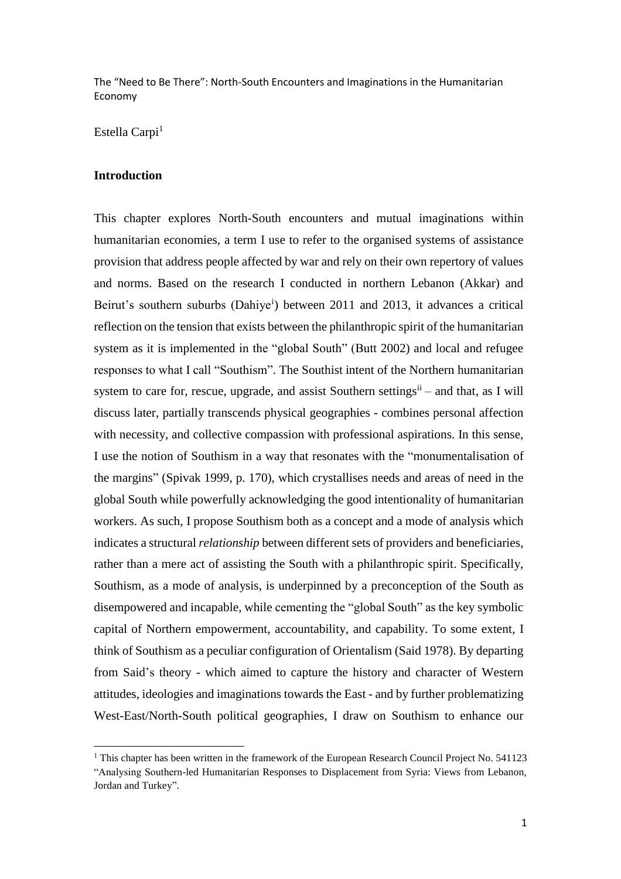The "Need to Be There": North-South Encounters and Imaginations in the Humanitarian Economy

Estella Carpi<sup>1</sup>

#### **Introduction**

 $\overline{a}$ 

This chapter explores North-South encounters and mutual imaginations within humanitarian economies, a term I use to refer to the organised systems of assistance provision that address people affected by war and rely on their own repertory of values and norms. Based on the research I conducted in northern Lebanon (Akkar) and Beirut's southern suburbs (Dahiye<sup>i</sup>) between 2011 and 2013, it advances a critical reflection on the tension that exists between the philanthropic spirit of the humanitarian system as it is implemented in the "global South" (Butt 2002) and local and refugee responses to what I call "Southism". The Southist intent of the Northern humanitarian system to care for, rescue, upgrade, and assist Southern settings<sup>ii</sup> – and that, as I will discuss later, partially transcends physical geographies - combines personal affection with necessity, and collective compassion with professional aspirations. In this sense, I use the notion of Southism in a way that resonates with the "monumentalisation of the margins" (Spivak 1999, p. 170), which crystallises needs and areas of need in the global South while powerfully acknowledging the good intentionality of humanitarian workers. As such, I propose Southism both as a concept and a mode of analysis which indicates a structural *relationship* between different sets of providers and beneficiaries, rather than a mere act of assisting the South with a philanthropic spirit. Specifically, Southism, as a mode of analysis, is underpinned by a preconception of the South as disempowered and incapable, while cementing the "global South" as the key symbolic capital of Northern empowerment, accountability, and capability. To some extent, I think of Southism as a peculiar configuration of Orientalism (Said 1978). By departing from Said's theory - which aimed to capture the history and character of Western attitudes, ideologies and imaginations towards the East - and by further problematizing West-East/North-South political geographies, I draw on Southism to enhance our

<sup>&</sup>lt;sup>1</sup> This chapter has been written in the framework of the European Research Council Project No. 541123 "Analysing Southern-led Humanitarian Responses to Displacement from Syria: Views from Lebanon, Jordan and Turkey".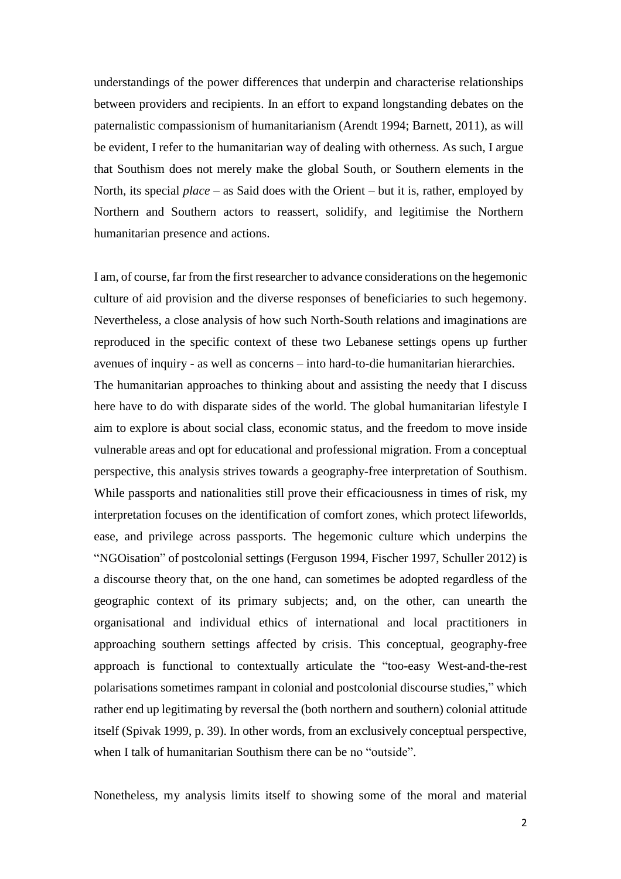understandings of the power differences that underpin and characterise relationships between providers and recipients. In an effort to expand longstanding debates on the paternalistic compassionism of humanitarianism (Arendt 1994; Barnett, 2011), as will be evident, I refer to the humanitarian way of dealing with otherness. As such, I argue that Southism does not merely make the global South, or Southern elements in the North, its special *place* – as Said does with the Orient – but it is, rather, employed by Northern and Southern actors to reassert, solidify, and legitimise the Northern humanitarian presence and actions.

I am, of course, far from the first researcher to advance considerations on the hegemonic culture of aid provision and the diverse responses of beneficiaries to such hegemony. Nevertheless, a close analysis of how such North-South relations and imaginations are reproduced in the specific context of these two Lebanese settings opens up further avenues of inquiry - as well as concerns – into hard-to-die humanitarian hierarchies. The humanitarian approaches to thinking about and assisting the needy that I discuss here have to do with disparate sides of the world. The global humanitarian lifestyle I aim to explore is about social class, economic status, and the freedom to move inside vulnerable areas and opt for educational and professional migration. From a conceptual perspective, this analysis strives towards a geography-free interpretation of Southism. While passports and nationalities still prove their efficaciousness in times of risk, my interpretation focuses on the identification of comfort zones, which protect lifeworlds, ease, and privilege across passports. The hegemonic culture which underpins the "NGOisation" of postcolonial settings (Ferguson 1994, Fischer 1997, Schuller 2012) is a discourse theory that, on the one hand, can sometimes be adopted regardless of the geographic context of its primary subjects; and, on the other, can unearth the organisational and individual ethics of international and local practitioners in approaching southern settings affected by crisis. This conceptual, geography-free approach is functional to contextually articulate the "too-easy West-and-the-rest polarisations sometimes rampant in colonial and postcolonial discourse studies," which rather end up legitimating by reversal the (both northern and southern) colonial attitude itself (Spivak 1999, p. 39). In other words, from an exclusively conceptual perspective, when I talk of humanitarian Southism there can be no "outside".

Nonetheless, my analysis limits itself to showing some of the moral and material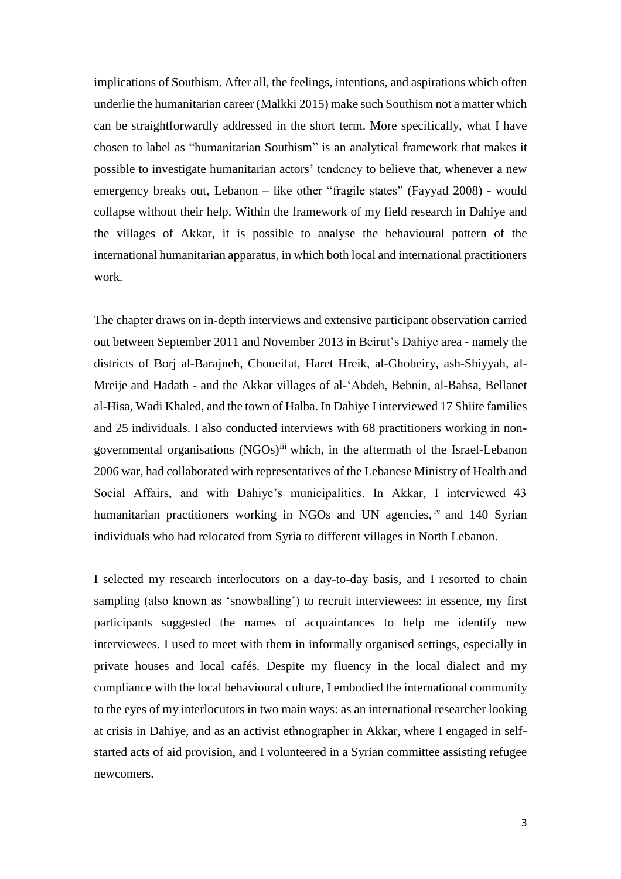implications of Southism. After all, the feelings, intentions, and aspirations which often underlie the humanitarian career (Malkki 2015) make such Southism not a matter which can be straightforwardly addressed in the short term. More specifically, what I have chosen to label as "humanitarian Southism" is an analytical framework that makes it possible to investigate humanitarian actors' tendency to believe that, whenever a new emergency breaks out, Lebanon – like other "fragile states" (Fayyad 2008) - would collapse without their help. Within the framework of my field research in Dahiye and the villages of Akkar, it is possible to analyse the behavioural pattern of the international humanitarian apparatus, in which both local and international practitioners work.

The chapter draws on in-depth interviews and extensive participant observation carried out between September 2011 and November 2013 in Beirut's Dahiye area - namely the districts of Borj al-Barajneh, Choueifat, Haret Hreik, al-Ghobeiry, ash-Shiyyah, al-Mreije and Hadath - and the Akkar villages of al-'Abdeh, Bebnin, al-Bahsa, Bellanet al-Hisa, Wadi Khaled, and the town of Halba. In Dahiye I interviewed 17 Shiite families and 25 individuals. I also conducted interviews with 68 practitioners working in nongovernmental organisations (NGOs)<sup>iii</sup> which, in the aftermath of the Israel-Lebanon 2006 war, had collaborated with representatives of the Lebanese Ministry of Health and Social Affairs, and with Dahiye's municipalities. In Akkar, I interviewed 43 humanitarian practitioners working in NGOs and UN agencies, <sup>iv</sup> and 140 Syrian individuals who had relocated from Syria to different villages in North Lebanon.

I selected my research interlocutors on a day-to-day basis, and I resorted to chain sampling (also known as 'snowballing') to recruit interviewees: in essence, my first participants suggested the names of acquaintances to help me identify new interviewees. I used to meet with them in informally organised settings, especially in private houses and local cafés. Despite my fluency in the local dialect and my compliance with the local behavioural culture, I embodied the international community to the eyes of my interlocutors in two main ways: as an international researcher looking at crisis in Dahiye, and as an activist ethnographer in Akkar, where I engaged in selfstarted acts of aid provision, and I volunteered in a Syrian committee assisting refugee newcomers.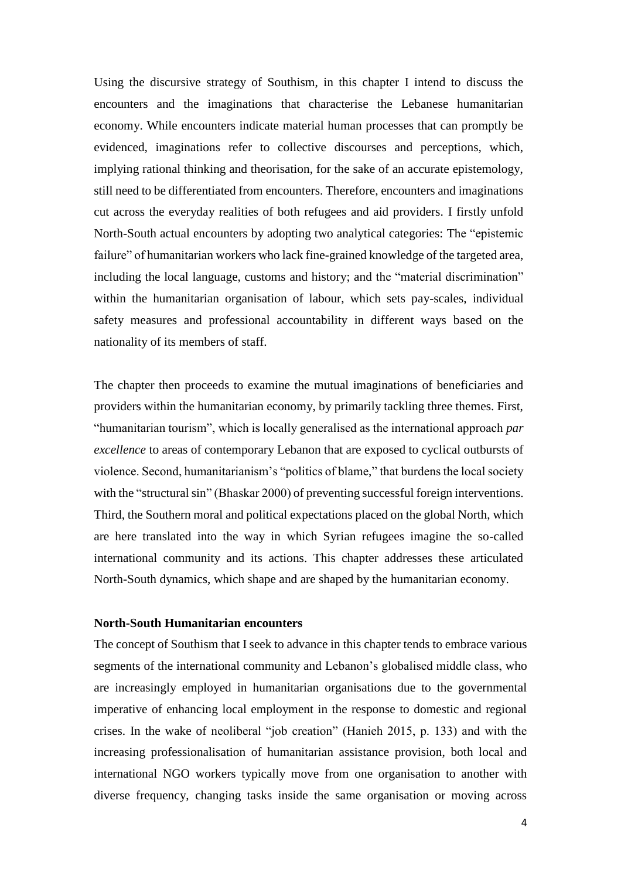Using the discursive strategy of Southism, in this chapter I intend to discuss the encounters and the imaginations that characterise the Lebanese humanitarian economy. While encounters indicate material human processes that can promptly be evidenced, imaginations refer to collective discourses and perceptions, which, implying rational thinking and theorisation, for the sake of an accurate epistemology, still need to be differentiated from encounters. Therefore, encounters and imaginations cut across the everyday realities of both refugees and aid providers. I firstly unfold North-South actual encounters by adopting two analytical categories: The "epistemic failure" of humanitarian workers who lack fine-grained knowledge of the targeted area, including the local language, customs and history; and the "material discrimination" within the humanitarian organisation of labour, which sets pay-scales, individual safety measures and professional accountability in different ways based on the nationality of its members of staff.

The chapter then proceeds to examine the mutual imaginations of beneficiaries and providers within the humanitarian economy, by primarily tackling three themes. First, "humanitarian tourism", which is locally generalised as the international approach *par excellence* to areas of contemporary Lebanon that are exposed to cyclical outbursts of violence. Second, humanitarianism's "politics of blame," that burdens the local society with the "structural sin" (Bhaskar 2000) of preventing successful foreign interventions. Third, the Southern moral and political expectations placed on the global North, which are here translated into the way in which Syrian refugees imagine the so-called international community and its actions. This chapter addresses these articulated North-South dynamics, which shape and are shaped by the humanitarian economy.

# **North-South Humanitarian encounters**

The concept of Southism that I seek to advance in this chapter tends to embrace various segments of the international community and Lebanon's globalised middle class, who are increasingly employed in humanitarian organisations due to the governmental imperative of enhancing local employment in the response to domestic and regional crises. In the wake of neoliberal "job creation" (Hanieh 2015, p. 133) and with the increasing professionalisation of humanitarian assistance provision, both local and international NGO workers typically move from one organisation to another with diverse frequency, changing tasks inside the same organisation or moving across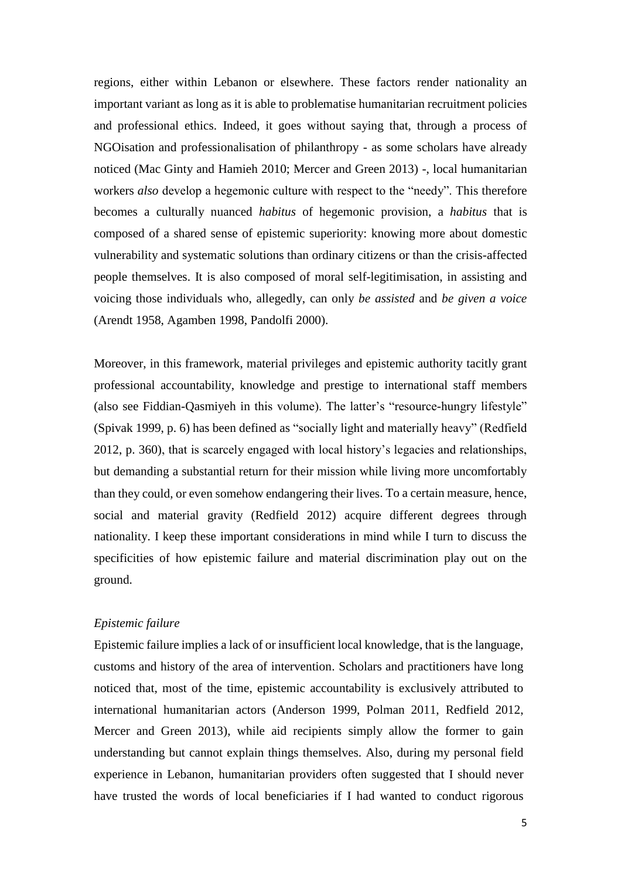regions, either within Lebanon or elsewhere. These factors render nationality an important variant as long as it is able to problematise humanitarian recruitment policies and professional ethics. Indeed, it goes without saying that, through a process of NGOisation and professionalisation of philanthropy - as some scholars have already noticed (Mac Ginty and Hamieh 2010; Mercer and Green 2013) -, local humanitarian workers *also* develop a hegemonic culture with respect to the "needy". This therefore becomes a culturally nuanced *habitus* of hegemonic provision, a *habitus* that is composed of a shared sense of epistemic superiority: knowing more about domestic vulnerability and systematic solutions than ordinary citizens or than the crisis-affected people themselves. It is also composed of moral self-legitimisation, in assisting and voicing those individuals who, allegedly, can only *be assisted* and *be given a voice* (Arendt 1958, Agamben 1998, Pandolfi 2000).

Moreover, in this framework, material privileges and epistemic authority tacitly grant professional accountability, knowledge and prestige to international staff members (also see Fiddian-Qasmiyeh in this volume). The latter's "resource-hungry lifestyle" (Spivak 1999, p. 6) has been defined as "socially light and materially heavy" (Redfield 2012, p. 360), that is scarcely engaged with local history's legacies and relationships, but demanding a substantial return for their mission while living more uncomfortably than they could, or even somehow endangering their lives. To a certain measure, hence, social and material gravity (Redfield 2012) acquire different degrees through nationality. I keep these important considerations in mind while I turn to discuss the specificities of how epistemic failure and material discrimination play out on the ground.

## *Epistemic failure*

Epistemic failure implies a lack of or insufficient local knowledge, that is the language, customs and history of the area of intervention. Scholars and practitioners have long noticed that, most of the time, epistemic accountability is exclusively attributed to international humanitarian actors (Anderson 1999, Polman 2011, Redfield 2012, Mercer and Green 2013), while aid recipients simply allow the former to gain understanding but cannot explain things themselves. Also, during my personal field experience in Lebanon, humanitarian providers often suggested that I should never have trusted the words of local beneficiaries if I had wanted to conduct rigorous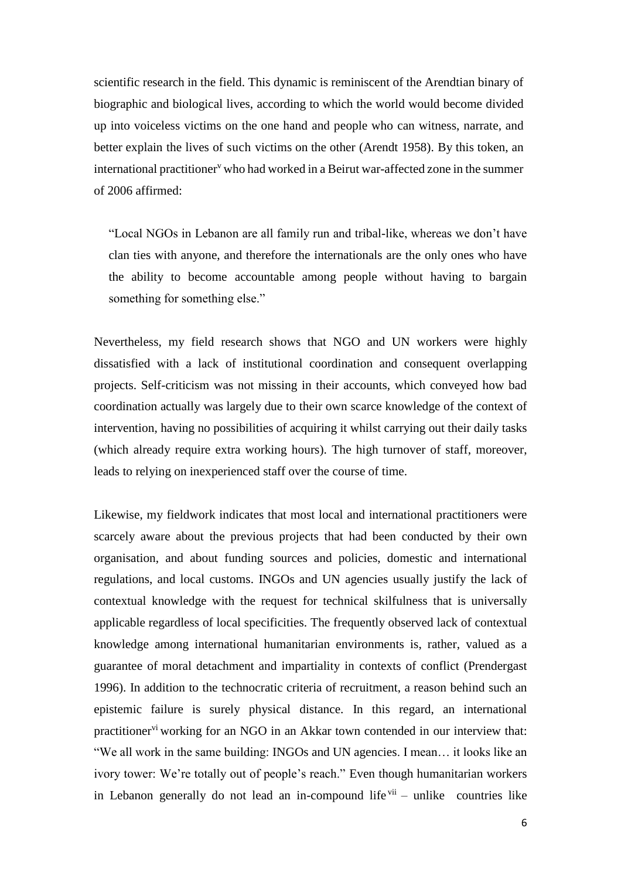scientific research in the field. This dynamic is reminiscent of the Arendtian binary of biographic and biological lives, according to which the world would become divided up into voiceless victims on the one hand and people who can witness, narrate, and better explain the lives of such victims on the other (Arendt 1958). By this token, an international practitioner<sup>v</sup> who had worked in a Beirut war-affected zone in the summer of 2006 affirmed:

"Local NGOs in Lebanon are all family run and tribal-like, whereas we don't have clan ties with anyone, and therefore the internationals are the only ones who have the ability to become accountable among people without having to bargain something for something else."

Nevertheless, my field research shows that NGO and UN workers were highly dissatisfied with a lack of institutional coordination and consequent overlapping projects. Self-criticism was not missing in their accounts, which conveyed how bad coordination actually was largely due to their own scarce knowledge of the context of intervention, having no possibilities of acquiring it whilst carrying out their daily tasks (which already require extra working hours). The high turnover of staff, moreover, leads to relying on inexperienced staff over the course of time.

Likewise, my fieldwork indicates that most local and international practitioners were scarcely aware about the previous projects that had been conducted by their own organisation, and about funding sources and policies, domestic and international regulations, and local customs. INGOs and UN agencies usually justify the lack of contextual knowledge with the request for technical skilfulness that is universally applicable regardless of local specificities. The frequently observed lack of contextual knowledge among international humanitarian environments is, rather, valued as a guarantee of moral detachment and impartiality in contexts of conflict (Prendergast 1996). In addition to the technocratic criteria of recruitment, a reason behind such an epistemic failure is surely physical distance. In this regard, an international practitioner<sup>vi</sup> working for an NGO in an Akkar town contended in our interview that: "We all work in the same building: INGOs and UN agencies. I mean… it looks like an ivory tower: We're totally out of people's reach." Even though humanitarian workers in Lebanon generally do not lead an in-compound life vii – unlike countries like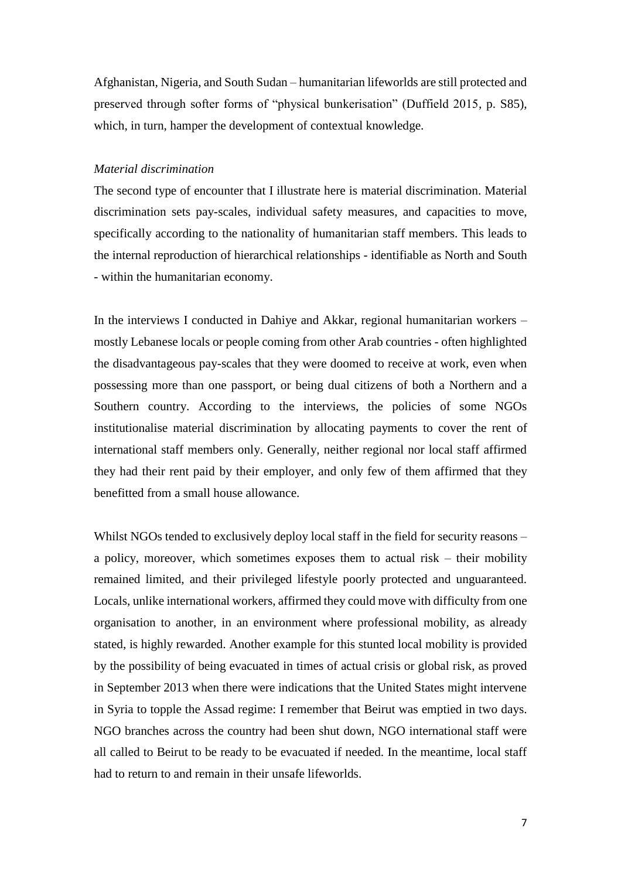Afghanistan, Nigeria, and South Sudan – humanitarian lifeworlds are still protected and preserved through softer forms of "physical bunkerisation" (Duffield 2015, p. S85), which, in turn, hamper the development of contextual knowledge.

## *Material discrimination*

The second type of encounter that I illustrate here is material discrimination. Material discrimination sets pay-scales, individual safety measures, and capacities to move, specifically according to the nationality of humanitarian staff members. This leads to the internal reproduction of hierarchical relationships - identifiable as North and South - within the humanitarian economy.

In the interviews I conducted in Dahiye and Akkar, regional humanitarian workers – mostly Lebanese locals or people coming from other Arab countries - often highlighted the disadvantageous pay-scales that they were doomed to receive at work, even when possessing more than one passport, or being dual citizens of both a Northern and a Southern country. According to the interviews, the policies of some NGOs institutionalise material discrimination by allocating payments to cover the rent of international staff members only. Generally, neither regional nor local staff affirmed they had their rent paid by their employer, and only few of them affirmed that they benefitted from a small house allowance.

Whilst NGOs tended to exclusively deploy local staff in the field for security reasons – a policy, moreover, which sometimes exposes them to actual risk – their mobility remained limited, and their privileged lifestyle poorly protected and unguaranteed. Locals, unlike international workers, affirmed they could move with difficulty from one organisation to another, in an environment where professional mobility, as already stated, is highly rewarded. Another example for this stunted local mobility is provided by the possibility of being evacuated in times of actual crisis or global risk, as proved in September 2013 when there were indications that the United States might intervene in Syria to topple the Assad regime: I remember that Beirut was emptied in two days. NGO branches across the country had been shut down, NGO international staff were all called to Beirut to be ready to be evacuated if needed. In the meantime, local staff had to return to and remain in their unsafe lifeworlds.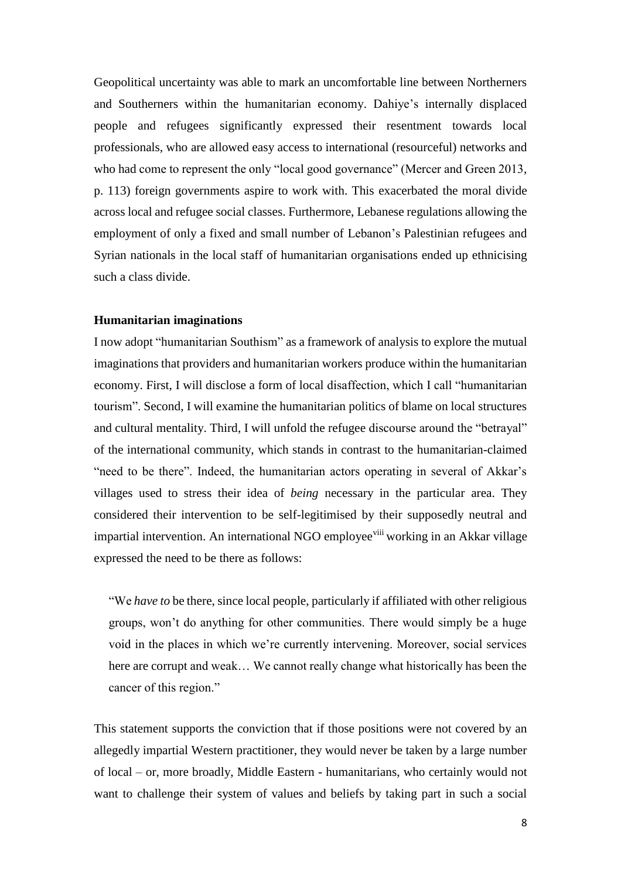Geopolitical uncertainty was able to mark an uncomfortable line between Northerners and Southerners within the humanitarian economy. Dahiye's internally displaced people and refugees significantly expressed their resentment towards local professionals, who are allowed easy access to international (resourceful) networks and who had come to represent the only "local good governance" (Mercer and Green 2013, p. 113) foreign governments aspire to work with. This exacerbated the moral divide across local and refugee social classes. Furthermore, Lebanese regulations allowing the employment of only a fixed and small number of Lebanon's Palestinian refugees and Syrian nationals in the local staff of humanitarian organisations ended up ethnicising such a class divide.

#### **Humanitarian imaginations**

I now adopt "humanitarian Southism" as a framework of analysis to explore the mutual imaginations that providers and humanitarian workers produce within the humanitarian economy. First, I will disclose a form of local disaffection, which I call "humanitarian tourism". Second, I will examine the humanitarian politics of blame on local structures and cultural mentality. Third, I will unfold the refugee discourse around the "betrayal" of the international community, which stands in contrast to the humanitarian-claimed "need to be there". Indeed, the humanitarian actors operating in several of Akkar's villages used to stress their idea of *being* necessary in the particular area. They considered their intervention to be self-legitimised by their supposedly neutral and impartial intervention. An international NGO employee<sup>viii</sup> working in an Akkar village expressed the need to be there as follows:

"We *have to* be there, since local people, particularly if affiliated with other religious groups, won't do anything for other communities. There would simply be a huge void in the places in which we're currently intervening. Moreover, social services here are corrupt and weak… We cannot really change what historically has been the cancer of this region."

This statement supports the conviction that if those positions were not covered by an allegedly impartial Western practitioner, they would never be taken by a large number of local – or, more broadly, Middle Eastern - humanitarians, who certainly would not want to challenge their system of values and beliefs by taking part in such a social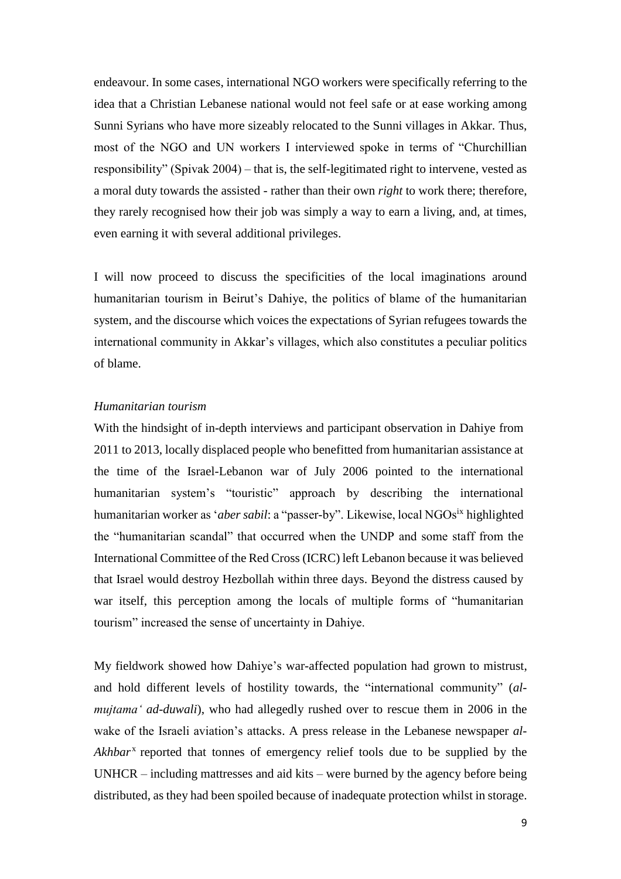endeavour. In some cases, international NGO workers were specifically referring to the idea that a Christian Lebanese national would not feel safe or at ease working among Sunni Syrians who have more sizeably relocated to the Sunni villages in Akkar. Thus, most of the NGO and UN workers I interviewed spoke in terms of "Churchillian responsibility" (Spivak 2004) – that is, the self-legitimated right to intervene, vested as a moral duty towards the assisted - rather than their own *right* to work there; therefore, they rarely recognised how their job was simply a way to earn a living, and, at times, even earning it with several additional privileges.

I will now proceed to discuss the specificities of the local imaginations around humanitarian tourism in Beirut's Dahiye, the politics of blame of the humanitarian system, and the discourse which voices the expectations of Syrian refugees towards the international community in Akkar's villages, which also constitutes a peculiar politics of blame.

### *Humanitarian tourism*

With the hindsight of in-depth interviews and participant observation in Dahiye from 2011 to 2013, locally displaced people who benefitted from humanitarian assistance at the time of the Israel-Lebanon war of July 2006 pointed to the international humanitarian system's "touristic" approach by describing the international humanitarian worker as '*aber sabil*: a "passer-by". Likewise, local NGOs<sup>ix</sup> highlighted the "humanitarian scandal" that occurred when the UNDP and some staff from the International Committee of the Red Cross (ICRC) left Lebanon because it was believed that Israel would destroy Hezbollah within three days. Beyond the distress caused by war itself, this perception among the locals of multiple forms of "humanitarian tourism" increased the sense of uncertainty in Dahiye.

My fieldwork showed how Dahiye's war-affected population had grown to mistrust, and hold different levels of hostility towards, the "international community" (*almujtama' ad-duwali*), who had allegedly rushed over to rescue them in 2006 in the wake of the Israeli aviation's attacks. A press release in the Lebanese newspaper *al-*Akhbar<sup>x</sup> reported that tonnes of emergency relief tools due to be supplied by the UNHCR – including mattresses and aid kits – were burned by the agency before being distributed, as they had been spoiled because of inadequate protection whilst in storage.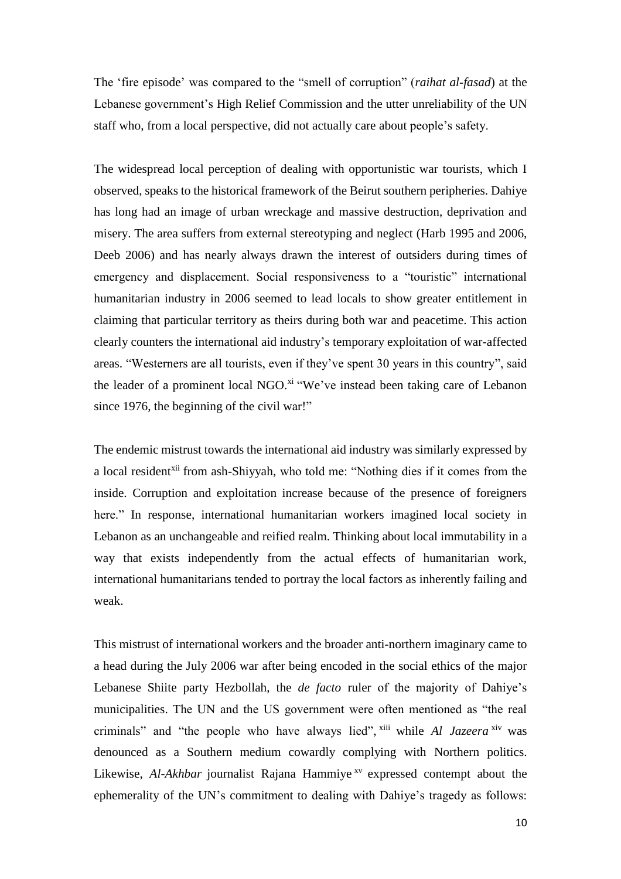The 'fire episode' was compared to the "smell of corruption" (*raihat al-fasad*) at the Lebanese government's High Relief Commission and the utter unreliability of the UN staff who, from a local perspective, did not actually care about people's safety.

The widespread local perception of dealing with opportunistic war tourists, which I observed, speaks to the historical framework of the Beirut southern peripheries. Dahiye has long had an image of urban wreckage and massive destruction, deprivation and misery. The area suffers from external stereotyping and neglect (Harb 1995 and 2006, Deeb 2006) and has nearly always drawn the interest of outsiders during times of emergency and displacement. Social responsiveness to a "touristic" international humanitarian industry in 2006 seemed to lead locals to show greater entitlement in claiming that particular territory as theirs during both war and peacetime. This action clearly counters the international aid industry's temporary exploitation of war-affected areas. "Westerners are all tourists, even if they've spent 30 years in this country", said the leader of a prominent local NGO.<sup>xi</sup> "We've instead been taking care of Lebanon since 1976, the beginning of the civil war!"

The endemic mistrust towards the international aid industry was similarly expressed by a local resident<sup>xii</sup> from ash-Shiyyah, who told me: "Nothing dies if it comes from the inside. Corruption and exploitation increase because of the presence of foreigners here." In response, international humanitarian workers imagined local society in Lebanon as an unchangeable and reified realm. Thinking about local immutability in a way that exists independently from the actual effects of humanitarian work, international humanitarians tended to portray the local factors as inherently failing and weak.

This mistrust of international workers and the broader anti-northern imaginary came to a head during the July 2006 war after being encoded in the social ethics of the major Lebanese Shiite party Hezbollah, the *de facto* ruler of the majority of Dahiye's municipalities. The UN and the US government were often mentioned as "the real criminals" and "the people who have always lied", <sup>xiii</sup> while *Al Jazeera* xiv was denounced as a Southern medium cowardly complying with Northern politics. Likewise, *Al-Akhbar* journalist Rajana Hammiye<sup>xv</sup> expressed contempt about the ephemerality of the UN's commitment to dealing with Dahiye's tragedy as follows: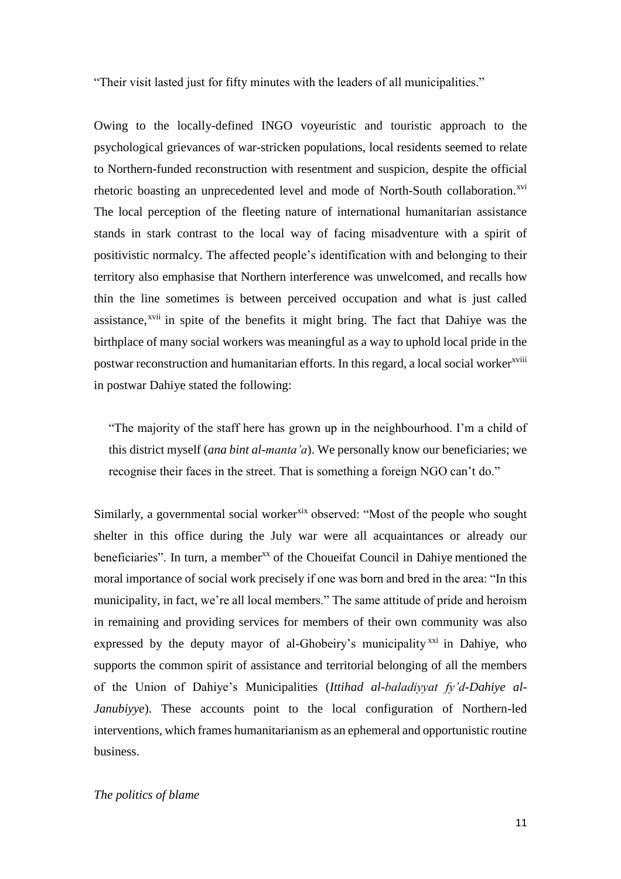"Their visit lasted just for fifty minutes with the leaders of all municipalities."

Owing to the locally-defined INGO voyeuristic and touristic approach to the psychological grievances of war-stricken populations, local residents seemed to relate to Northern-funded reconstruction with resentment and suspicion, despite the official rhetoric boasting an unprecedented level and mode of North-South collaboration.<sup>xvi</sup> The local perception of the fleeting nature of international humanitarian assistance stands in stark contrast to the local way of facing misadventure with a spirit of positivistic normalcy. The affected people's identification with and belonging to their territory also emphasise that Northern interference was unwelcomed, and recalls how thin the line sometimes is between perceived occupation and what is just called assistance,<sup>xvii</sup> in spite of the benefits it might bring. The fact that Dahiye was the birthplace of many social workers was meaningful as a way to uphold local pride in the postwar reconstruction and humanitarian efforts. In this regard, a local social worker<sup>xviii</sup> in postwar Dahiye stated the following:

"The majority of the staff here has grown up in the neighbourhood. I'm a child of this district myself (*ana bint al-manta'a*). We personally know our beneficiaries; we recognise their faces in the street. That is something a foreign NGO can't do."

Similarly, a governmental social worker<sup>xix</sup> observed: "Most of the people who sought shelter in this office during the July war were all acquaintances or already our beneficiaries". In turn, a member<sup>xx</sup> of the Choueifat Council in Dahiye mentioned the moral importance of social work precisely if one was born and bred in the area: "In this municipality, in fact, we're all local members." The same attitude of pride and heroism in remaining and providing services for members of their own community was also expressed by the deputy mayor of al-Ghobeiry's municipality<sup>xxi</sup> in Dahiye, who supports the common spirit of assistance and territorial belonging of all the members of the Union of Dahiye's Municipalities (*Ittihad al-baladiyyat fy'd-Dahiye al-Janubiyye*). These accounts point to the local configuration of Northern-led interventions, which frames humanitarianism as an ephemeral and opportunistic routine business.

### *The politics of blame*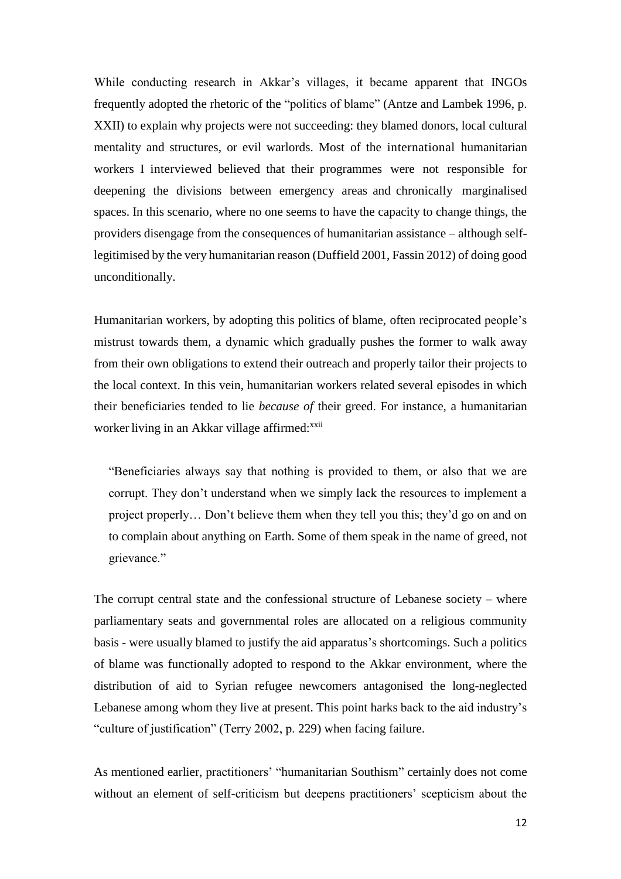While conducting research in Akkar's villages, it became apparent that INGOs frequently adopted the rhetoric of the "politics of blame" (Antze and Lambek 1996, p. XXII) to explain why projects were not succeeding: they blamed donors, local cultural mentality and structures, or evil warlords. Most of the international humanitarian workers I interviewed believed that their programmes were not responsible for deepening the divisions between emergency areas and chronically marginalised spaces. In this scenario, where no one seems to have the capacity to change things, the providers disengage from the consequences of humanitarian assistance – although selflegitimised by the very humanitarian reason (Duffield 2001, Fassin 2012) of doing good unconditionally.

Humanitarian workers, by adopting this politics of blame, often reciprocated people's mistrust towards them, a dynamic which gradually pushes the former to walk away from their own obligations to extend their outreach and properly tailor their projects to the local context. In this vein, humanitarian workers related several episodes in which their beneficiaries tended to lie *because of* their greed. For instance, a humanitarian worker living in an Akkar village affirmed:<sup>xxii</sup>

"Beneficiaries always say that nothing is provided to them, or also that we are corrupt. They don't understand when we simply lack the resources to implement a project properly… Don't believe them when they tell you this; they'd go on and on to complain about anything on Earth. Some of them speak in the name of greed, not grievance."

The corrupt central state and the confessional structure of Lebanese society – where parliamentary seats and governmental roles are allocated on a religious community basis - were usually blamed to justify the aid apparatus's shortcomings. Such a politics of blame was functionally adopted to respond to the Akkar environment, where the distribution of aid to Syrian refugee newcomers antagonised the long-neglected Lebanese among whom they live at present. This point harks back to the aid industry's "culture of justification" (Terry 2002, p. 229) when facing failure.

As mentioned earlier, practitioners' "humanitarian Southism" certainly does not come without an element of self-criticism but deepens practitioners' scepticism about the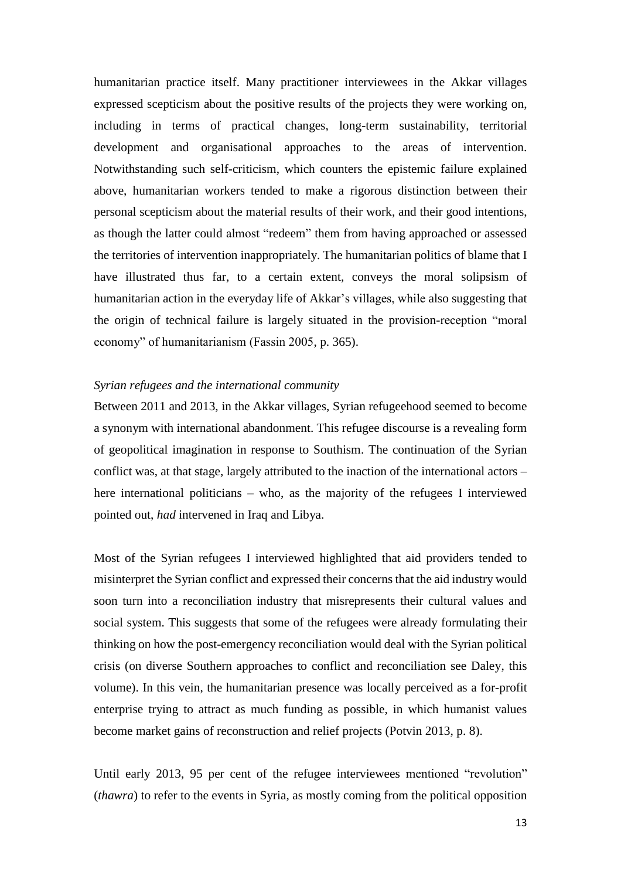humanitarian practice itself. Many practitioner interviewees in the Akkar villages expressed scepticism about the positive results of the projects they were working on, including in terms of practical changes, long-term sustainability, territorial development and organisational approaches to the areas of intervention. Notwithstanding such self-criticism, which counters the epistemic failure explained above, humanitarian workers tended to make a rigorous distinction between their personal scepticism about the material results of their work, and their good intentions, as though the latter could almost "redeem" them from having approached or assessed the territories of intervention inappropriately. The humanitarian politics of blame that I have illustrated thus far, to a certain extent, conveys the moral solipsism of humanitarian action in the everyday life of Akkar's villages, while also suggesting that the origin of technical failure is largely situated in the provision-reception "moral economy" of humanitarianism (Fassin 2005, p. 365).

#### *Syrian refugees and the international community*

Between 2011 and 2013, in the Akkar villages, Syrian refugeehood seemed to become a synonym with international abandonment. This refugee discourse is a revealing form of geopolitical imagination in response to Southism. The continuation of the Syrian conflict was, at that stage, largely attributed to the inaction of the international actors – here international politicians – who, as the majority of the refugees I interviewed pointed out, *had* intervened in Iraq and Libya.

Most of the Syrian refugees I interviewed highlighted that aid providers tended to misinterpret the Syrian conflict and expressed their concerns that the aid industry would soon turn into a reconciliation industry that misrepresents their cultural values and social system. This suggests that some of the refugees were already formulating their thinking on how the post-emergency reconciliation would deal with the Syrian political crisis (on diverse Southern approaches to conflict and reconciliation see Daley, this volume). In this vein, the humanitarian presence was locally perceived as a for-profit enterprise trying to attract as much funding as possible, in which humanist values become market gains of reconstruction and relief projects (Potvin 2013, p. 8).

Until early 2013, 95 per cent of the refugee interviewees mentioned "revolution" (*thawra*) to refer to the events in Syria, as mostly coming from the political opposition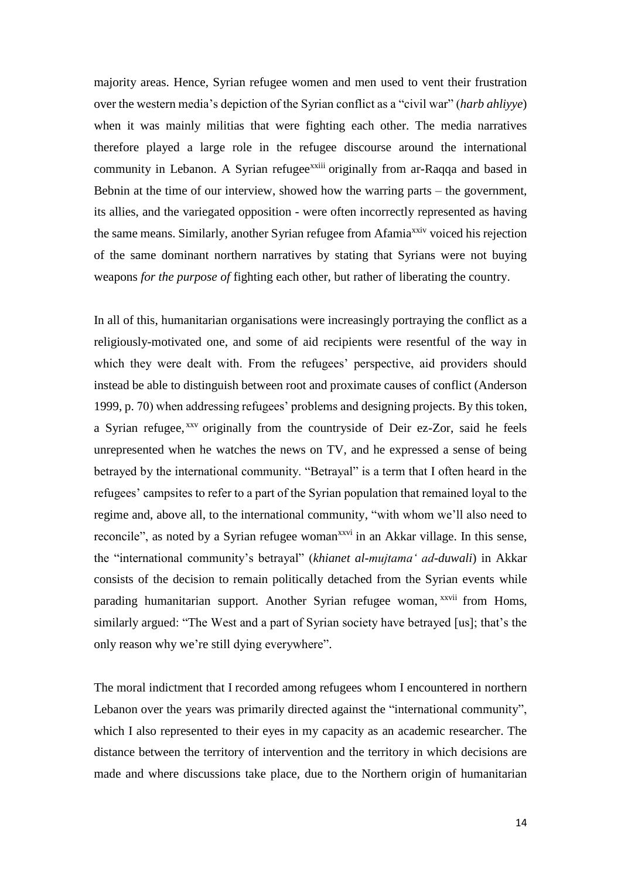majority areas. Hence, Syrian refugee women and men used to vent their frustration over the western media's depiction of the Syrian conflict as a "civil war" (*harb ahliyye*) when it was mainly militias that were fighting each other. The media narratives therefore played a large role in the refugee discourse around the international community in Lebanon. A Syrian refugee<sup>xxiii</sup> originally from ar-Raqqa and based in Bebnin at the time of our interview, showed how the warring parts – the government, its allies, and the variegated opposition - were often incorrectly represented as having the same means. Similarly, another Syrian refugee from Afamia<sup>xxiv</sup> voiced his rejection of the same dominant northern narratives by stating that Syrians were not buying weapons *for the purpose of* fighting each other, but rather of liberating the country.

In all of this, humanitarian organisations were increasingly portraying the conflict as a religiously-motivated one, and some of aid recipients were resentful of the way in which they were dealt with. From the refugees' perspective, aid providers should instead be able to distinguish between root and proximate causes of conflict (Anderson 1999, p. 70) when addressing refugees' problems and designing projects. By this token, a Syrian refugee,<sup>xxv</sup> originally from the countryside of Deir ez-Zor, said he feels unrepresented when he watches the news on TV, and he expressed a sense of being betrayed by the international community. "Betrayal" is a term that I often heard in the refugees' campsites to refer to a part of the Syrian population that remained loyal to the regime and, above all, to the international community, "with whom we'll also need to reconcile", as noted by a Syrian refugee woman<sup>xxvi</sup> in an Akkar village. In this sense, the "international community's betrayal" (*khianet al-mujtama' ad-duwali*) in Akkar consists of the decision to remain politically detached from the Syrian events while parading humanitarian support. Another Syrian refugee woman, xxvii from Homs, similarly argued: "The West and a part of Syrian society have betrayed [us]; that's the only reason why we're still dying everywhere".

The moral indictment that I recorded among refugees whom I encountered in northern Lebanon over the years was primarily directed against the "international community", which I also represented to their eyes in my capacity as an academic researcher. The distance between the territory of intervention and the territory in which decisions are made and where discussions take place, due to the Northern origin of humanitarian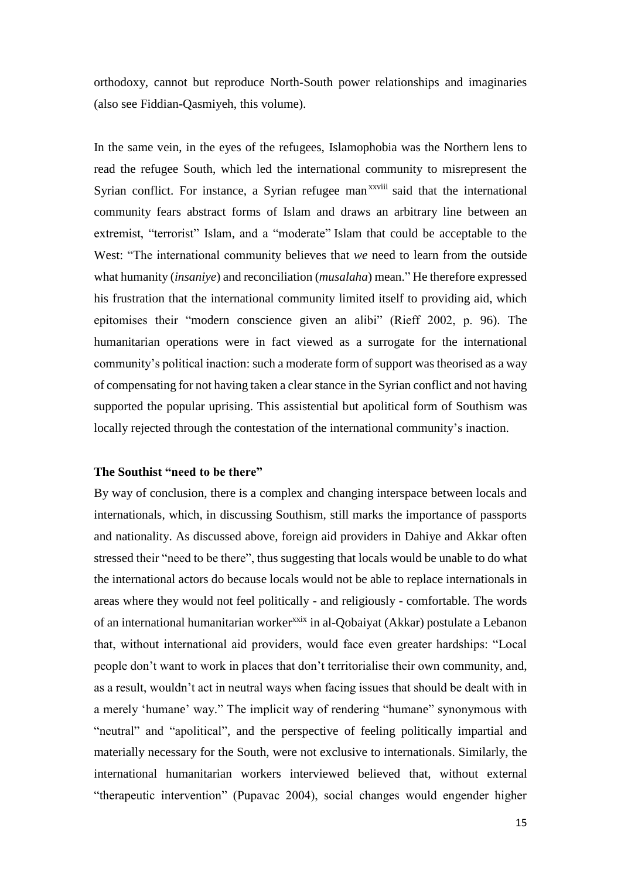orthodoxy, cannot but reproduce North-South power relationships and imaginaries (also see Fiddian-Qasmiyeh, this volume).

In the same vein, in the eyes of the refugees, Islamophobia was the Northern lens to read the refugee South, which led the international community to misrepresent the Syrian conflict. For instance, a Syrian refugee man<sup>xxviii</sup> said that the international community fears abstract forms of Islam and draws an arbitrary line between an extremist, "terrorist" Islam, and a "moderate" Islam that could be acceptable to the West: "The international community believes that *we* need to learn from the outside what humanity (*insaniye*) and reconciliation (*musalaha*) mean." He therefore expressed his frustration that the international community limited itself to providing aid, which epitomises their "modern conscience given an alibi" (Rieff 2002, p. 96). The humanitarian operations were in fact viewed as a surrogate for the international community's political inaction: such a moderate form of support was theorised as a way of compensating for not having taken a clear stance in the Syrian conflict and not having supported the popular uprising. This assistential but apolitical form of Southism was locally rejected through the contestation of the international community's inaction.

#### **The Southist "need to be there"**

By way of conclusion, there is a complex and changing interspace between locals and internationals, which, in discussing Southism, still marks the importance of passports and nationality. As discussed above, foreign aid providers in Dahiye and Akkar often stressed their "need to be there", thus suggesting that locals would be unable to do what the international actors do because locals would not be able to replace internationals in areas where they would not feel politically - and religiously - comfortable. The words of an international humanitarian worker<sup>xxix</sup> in al-Qobaiyat (Akkar) postulate a Lebanon that, without international aid providers, would face even greater hardships: "Local people don't want to work in places that don't territorialise their own community, and, as a result, wouldn't act in neutral ways when facing issues that should be dealt with in a merely 'humane' way." The implicit way of rendering "humane" synonymous with "neutral" and "apolitical", and the perspective of feeling politically impartial and materially necessary for the South, were not exclusive to internationals. Similarly, the international humanitarian workers interviewed believed that, without external "therapeutic intervention" (Pupavac 2004), social changes would engender higher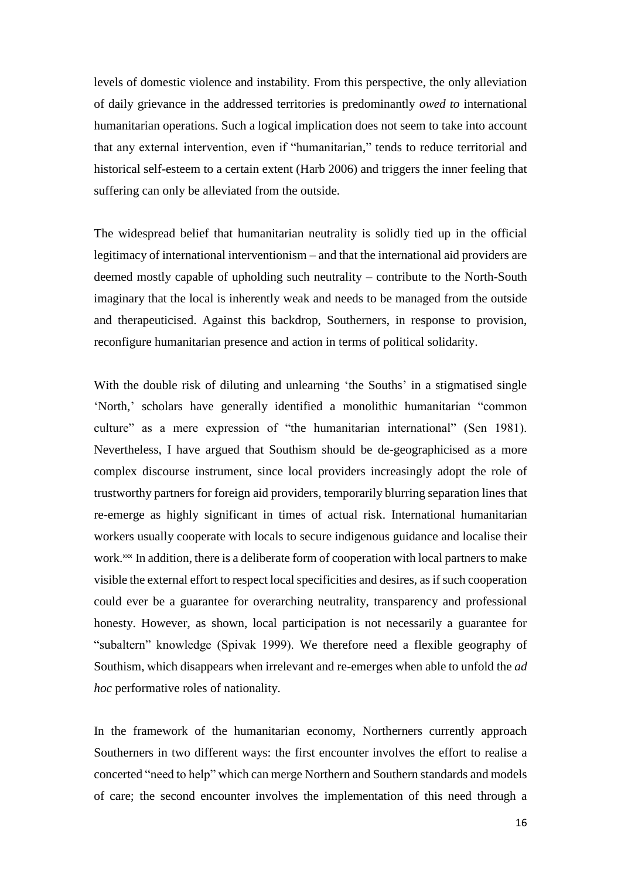levels of domestic violence and instability. From this perspective, the only alleviation of daily grievance in the addressed territories is predominantly *owed to* international humanitarian operations. Such a logical implication does not seem to take into account that any external intervention, even if "humanitarian," tends to reduce territorial and historical self-esteem to a certain extent (Harb 2006) and triggers the inner feeling that suffering can only be alleviated from the outside.

The widespread belief that humanitarian neutrality is solidly tied up in the official legitimacy of international interventionism – and that the international aid providers are deemed mostly capable of upholding such neutrality – contribute to the North-South imaginary that the local is inherently weak and needs to be managed from the outside and therapeuticised. Against this backdrop, Southerners, in response to provision, reconfigure humanitarian presence and action in terms of political solidarity.

With the double risk of diluting and unlearning 'the Souths' in a stigmatised single 'North,' scholars have generally identified a monolithic humanitarian "common culture" as a mere expression of "the humanitarian international" (Sen 1981). Nevertheless, I have argued that Southism should be de-geographicised as a more complex discourse instrument, since local providers increasingly adopt the role of trustworthy partners for foreign aid providers, temporarily blurring separation lines that re-emerge as highly significant in times of actual risk. International humanitarian workers usually cooperate with locals to secure indigenous guidance and localise their work.<sup>xxx</sup> In addition, there is a deliberate form of cooperation with local partners to make visible the external effort to respect local specificities and desires, as if such cooperation could ever be a guarantee for overarching neutrality, transparency and professional honesty. However, as shown, local participation is not necessarily a guarantee for "subaltern" knowledge (Spivak 1999). We therefore need a flexible geography of Southism, which disappears when irrelevant and re-emerges when able to unfold the *ad hoc* performative roles of nationality.

In the framework of the humanitarian economy, Northerners currently approach Southerners in two different ways: the first encounter involves the effort to realise a concerted "need to help" which can merge Northern and Southern standards and models of care; the second encounter involves the implementation of this need through a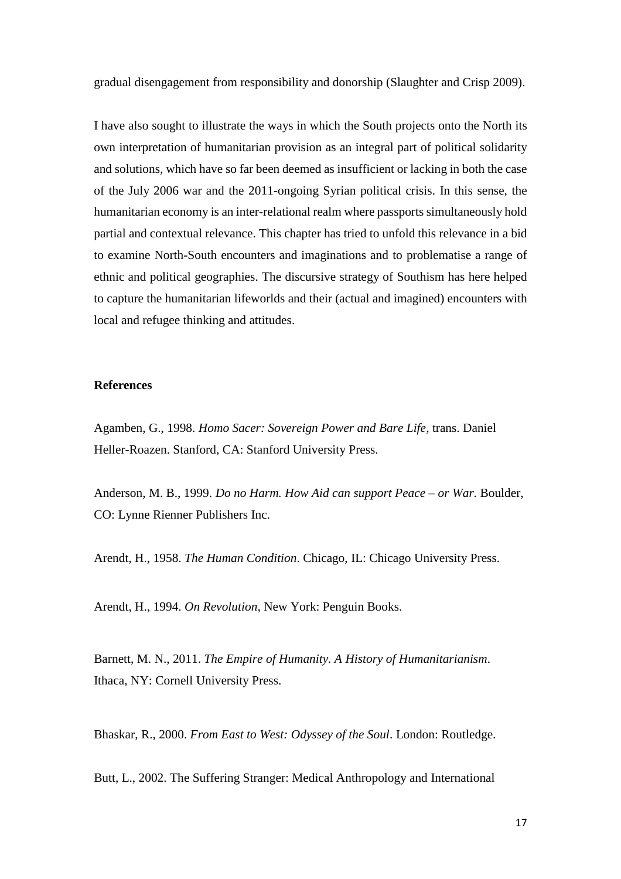gradual disengagement from responsibility and donorship (Slaughter and Crisp 2009).

I have also sought to illustrate the ways in which the South projects onto the North its own interpretation of humanitarian provision as an integral part of political solidarity and solutions, which have so far been deemed as insufficient or lacking in both the case of the July 2006 war and the 2011-ongoing Syrian political crisis. In this sense, the humanitarian economy is an inter-relational realm where passports simultaneously hold partial and contextual relevance. This chapter has tried to unfold this relevance in a bid to examine North-South encounters and imaginations and to problematise a range of ethnic and political geographies. The discursive strategy of Southism has here helped to capture the humanitarian lifeworlds and their (actual and imagined) encounters with local and refugee thinking and attitudes.

### **References**

Agamben, G., 1998. *Homo Sacer: Sovereign Power and Bare Life*, trans. Daniel Heller-Roazen. Stanford, CA: Stanford University Press.

Anderson, M. B., 1999. *Do no Harm. How Aid can support Peace – or War.* Boulder, CO: Lynne Rienner Publishers Inc.

Arendt, H., 1958. *The Human Condition*. Chicago, IL: Chicago University Press.

Arendt, H., 1994. *On Revolution,* New York: Penguin Books.

Barnett, M. N., 2011. *The Empire of Humanity. A History of Humanitarianism*. Ithaca, NY: Cornell University Press.

Bhaskar, R., 2000. *From East to West: Odyssey of the Soul*. London: Routledge.

Butt, L., 2002. The Suffering Stranger: Medical Anthropology and International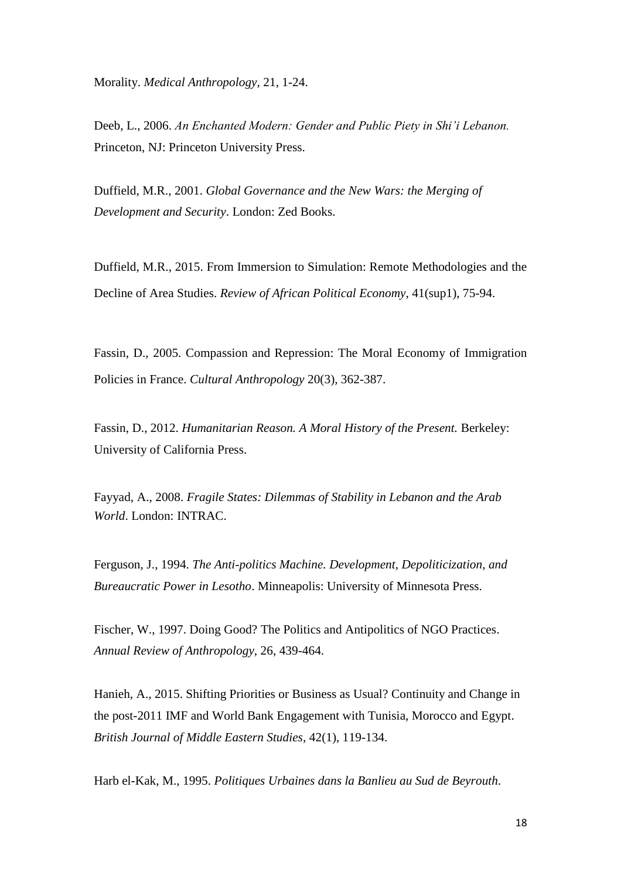Morality. *Medical Anthropology,* 21, 1-24.

Deeb, L., 2006. *An Enchanted Modern: Gender and Public Piety in Shi'i Lebanon.*  Princeton, NJ: Princeton University Press.

Duffield, M.R., 2001. *Global Governance and the New Wars: the Merging of Development and Security*. London: Zed Books.

Duffield, M.R., 2015. From Immersion to Simulation: Remote Methodologies and the Decline of Area Studies. *Review of African Political Economy,* 41(sup1), 75-94.

Fassin, D., 2005. Compassion and Repression: The Moral Economy of Immigration Policies in France. *Cultural Anthropology* 20(3), 362-387.

Fassin, D., 2012. *Humanitarian Reason. A Moral History of the Present.* Berkeley: University of California Press.

Fayyad, A., 2008. *Fragile States: Dilemmas of Stability in Lebanon and the Arab World*. London: INTRAC.

Ferguson, J., 1994. *The Anti-politics Machine. Development, Depoliticization, and Bureaucratic Power in Lesotho*. Minneapolis: University of Minnesota Press.

Fischer, W., 1997. Doing Good? The Politics and Antipolitics of NGO Practices. *Annual Review of Anthropology,* 26, 439-464.

Hanieh, A., 2015. Shifting Priorities or Business as Usual? Continuity and Change in the post-2011 IMF and World Bank Engagement with Tunisia, Morocco and Egypt. *British Journal of Middle Eastern Studies,* 42(1), 119-134.

Harb el-Kak, M., 1995. *Politiques Urbaines dans la Banlieu au Sud de Beyrouth.*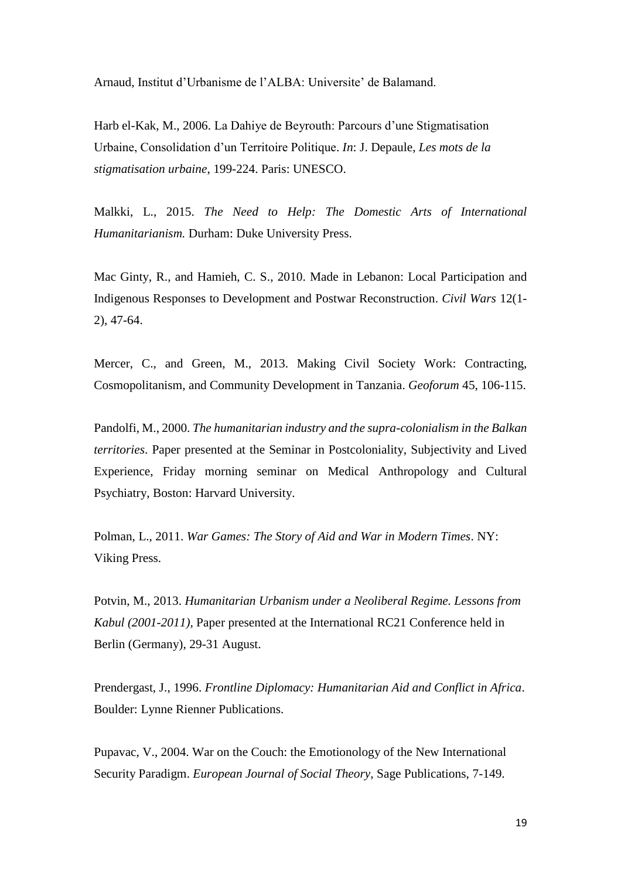Arnaud, Institut d'Urbanisme de l'ALBA: Universite' de Balamand.

Harb el-Kak, M., 2006. La Dahiye de Beyrouth: Parcours d'une Stigmatisation Urbaine, Consolidation d'un Territoire Politique. *In*: J. Depaule, *Les mots de la stigmatisation urbaine*, 199-224. Paris: UNESCO.

Malkki, L., 2015. *The Need to Help: The Domestic Arts of International Humanitarianism.* Durham: Duke University Press.

Mac Ginty, R., and Hamieh, C. S., 2010. Made in Lebanon: Local Participation and Indigenous Responses to Development and Postwar Reconstruction. *Civil Wars* 12(1- 2), 47-64.

Mercer, C., and Green, M., 2013. Making Civil Society Work: Contracting, Cosmopolitanism, and Community Development in Tanzania. *Geoforum* 45, 106-115.

Pandolfi, M., 2000. *The humanitarian industry and the supra-colonialism in the Balkan territories*. Paper presented at the Seminar in Postcoloniality, Subjectivity and Lived Experience, Friday morning seminar on Medical Anthropology and Cultural Psychiatry, Boston: Harvard University.

Polman, L., 2011. *War Games: The Story of Aid and War in Modern Times*. NY: Viking Press.

Potvin, M., 2013. *Humanitarian Urbanism under a Neoliberal Regime. Lessons from Kabul (2001-2011),* Paper presented at the International RC21 Conference held in Berlin (Germany), 29-31 August.

Prendergast, J., 1996. *Frontline Diplomacy: Humanitarian Aid and Conflict in Africa*. Boulder: Lynne Rienner Publications.

Pupavac, V., 2004. War on the Couch: the Emotionology of the New International Security Paradigm. *European Journal of Social Theory*, Sage Publications, 7-149.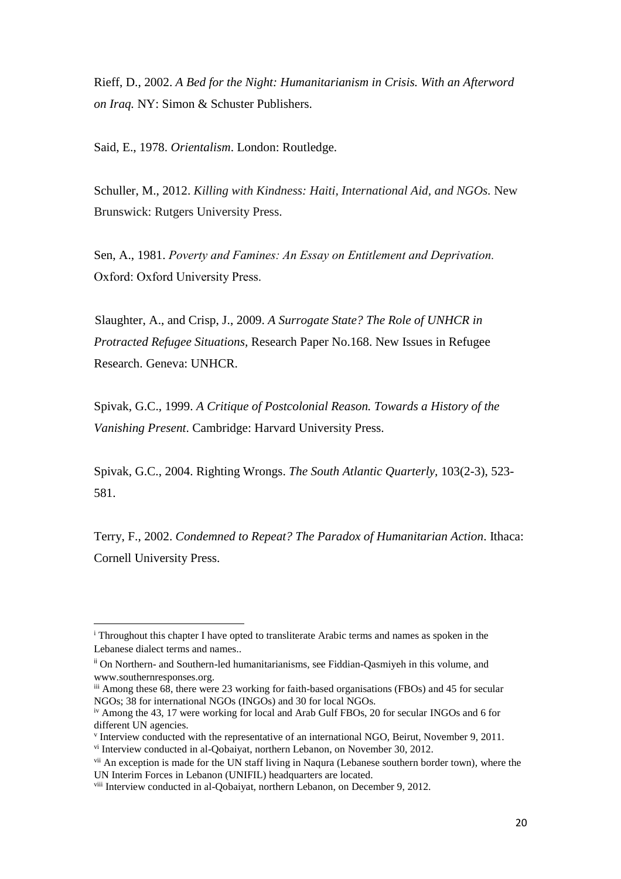Rieff, D., 2002. *A Bed for the Night: Humanitarianism in Crisis. With an Afterword on Iraq.* NY: Simon & Schuster Publishers.

Said, E., 1978. *Orientalism*. London: Routledge.

Schuller, M., 2012. *Killing with Kindness: Haiti, International Aid, and NGOs.* New Brunswick: Rutgers University Press.

Sen, A., 1981. *Poverty and Famines: An Essay on Entitlement and Deprivation.* Oxford: Oxford University Press.

 Slaughter, A., and Crisp, J., 2009. *A Surrogate State? The Role of UNHCR in Protracted Refugee Situations,* Research Paper No.168. New Issues in Refugee Research. Geneva: UNHCR.

Spivak, G.C., 1999. *A Critique of Postcolonial Reason. Towards a History of the Vanishing Present*. Cambridge: Harvard University Press.

Spivak, G.C., 2004. Righting Wrongs. *The South Atlantic Quarterly,* 103(2-3), 523- 581.

Terry, F., 2002. *Condemned to Repeat? The Paradox of Humanitarian Action*. Ithaca: Cornell University Press.

 $\overline{a}$ 

<sup>i</sup> Throughout this chapter I have opted to transliterate Arabic terms and names as spoken in the Lebanese dialect terms and names..

ii On Northern- and Southern-led humanitarianisms, see Fiddian-Qasmiyeh in this volume, and www.southernresponses.org.

iii Among these 68, there were 23 working for faith-based organisations (FBOs) and 45 for secular NGOs; 38 for international NGOs (INGOs) and 30 for local NGOs.

iv Among the 43, 17 were working for local and Arab Gulf FBOs, 20 for secular INGOs and 6 for different UN agencies.

v Interview conducted with the representative of an international NGO, Beirut, November 9, 2011. vi Interview conducted in al-Qobaiyat, northern Lebanon, on November 30, 2012.

<sup>&</sup>lt;sup>vii</sup> An exception is made for the UN staff living in Naqura (Lebanese southern border town), where the UN Interim Forces in Lebanon (UNIFIL) headquarters are located.

viii Interview conducted in al-Qobaiyat, northern Lebanon, on December 9, 2012.